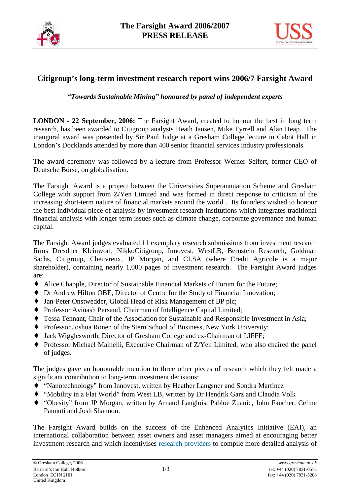



# **Citigroup's long-term investment research report wins 2006/7 Farsight Award**

*"Towards Sustainable Mining" honoured by panel of independent experts* 

**LONDON - 22 September, 2006:** The Farsight Award, created to honour the best in long term research, has been awarded to Citigroup analysts Heath Jansen, Mike Tyrrell and Alan Heap. The inaugural award was presented by Sir Paul Judge at a Gresham College lecture in Cabot Hall in London's Docklands attended by more than 400 senior financial services industry professionals.

The award ceremony was followed by a lecture from Professor Werner Seifert, former CEO of Deutsche Börse, on globalisation.

The Farsight Award is a project between the Universities Superannuation Scheme and Gresham College with support from Z/Yen Limited and was formed in direct response to criticism of the increasing short-term nature of financial markets around the world . Its founders wished to honour the best individual piece of analysis by investment research institutions which integrates traditional financial analysis with longer term issues such as climate change, corporate governance and human capital.

The Farsight Award judges evaluated 11 exemplary research submissions from investment research firms Dresdner Kleinwort, NikkoCitigroup, Innovest, WestLB, Bernstein Research, Goldman Sachs, Citigroup, Cheuvreux, JP Morgan, and CLSA (where Credit Agricole is a major shareholder), containing nearly 1,000 pages of investment research. The Farsight Award judges are:

- ♦ Alice Chapple, Director of Sustainable Financial Markets of Forum for the Future;
- ♦ Dr Andrew Hilton OBE, Director of Centre for the Study of Financial Innovation;
- ♦ Jan-Peter Onstwedder, Global Head of Risk Management of BP plc;
- ♦ Professor Avinash Persaud, Chairman of Intelligence Capital Limited;
- ♦ Tessa Tennant, Chair of the Association for Sustainable and Responsible Investment in Asia;
- ♦ Professor Joshua Ronen of the Stern School of Business, New York University;
- ♦ Jack Wigglesworth, Director of Gresham College and ex-Chairman of LIFFE;
- ♦ Professor Michael Mainelli, Executive Chairman of Z/Yen Limited, who also chaired the panel of judges.

The judges gave an honourable mention to three other pieces of research which they felt made a significant contribution to long-term investment decisions:

- ♦ "Nanotechnology" from Innovest, written by Heather Langsner and Sondra Martinez
- ♦ "Mobility in a Flat World" from West LB, written by Dr Hendrik Garz and Claudia Volk
- ♦ "Obesity" from JP Morgan, written by Arnaud Langlois, Pabloe Zuanic, John Faucher, Celine Pannuti and Josh Shannon.

The Farsight Award builds on the success of the Enhanced Analytics Initiative (EAI), an international collaboration between asset owners and asset managers aimed at encouraging better investment research and which incentivises research providers to compile more detailed analysis of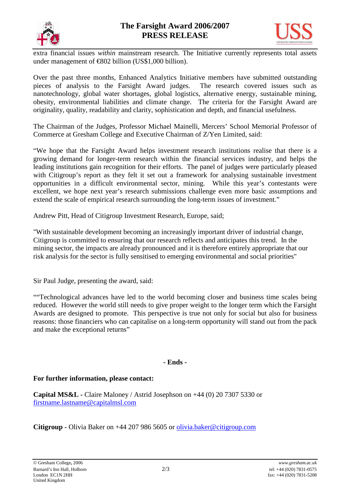



extra financial issues *within* mainstream research. The Initiative currently represents total assets under management of  $\text{\textsterling}802$  billion (US\$1,000 billion).

Over the past three months, Enhanced Analytics Initiative members have submitted outstanding pieces of analysis to the Farsight Award judges. The research covered issues such as nanotechnology, global water shortages, global logistics, alternative energy, sustainable mining, obesity, environmental liabilities and climate change. The criteria for the Farsight Award are originality, quality, readability and clarity, sophistication and depth, and financial usefulness.

The Chairman of the Judges, Professor Michael Mainelli, Mercers' School Memorial Professor of Commerce at Gresham College and Executive Chairman of Z/Yen Limited, said:

"We hope that the Farsight Award helps investment research institutions realise that there is a growing demand for longer-term research within the financial services industry, and helps the leading institutions gain recognition for their efforts. The panel of judges were particularly pleased with Citigroup's report as they felt it set out a framework for analysing sustainable investment opportunities in a difficult environmental sector, mining. While this year's contestants were excellent, we hope next year's research submissions challenge even more basic assumptions and extend the scale of empirical research surrounding the long-term issues of investment."

Andrew Pitt, Head of Citigroup Investment Research, Europe, said;

"With sustainable development becoming an increasingly important driver of industrial change, Citigroup is committed to ensuring that our research reflects and anticipates this trend. In the mining sector, the impacts are already pronounced and it is therefore entirely appropriate that our risk analysis for the sector is fully sensitised to emerging environmental and social priorities"

Sir Paul Judge, presenting the award, said:

""Technological advances have led to the world becoming closer and business time scales being reduced. However the world still needs to give proper weight to the longer term which the Farsight Awards are designed to promote. This perspective is true not only for social but also for business reasons: those financiers who can capitalise on a long-term opportunity will stand out from the pack and make the exceptional returns"

## **- Ends -**

## **For further information, please contact:**

**Capital MS&L -** Claire Maloney / Astrid Josephson on +44 (0) 20 7307 5330 or firstname.lastname@capitalmsl.com

**Citigroup -** Olivia Baker on +44 207 986 5605 or olivia.baker@citigroup.com